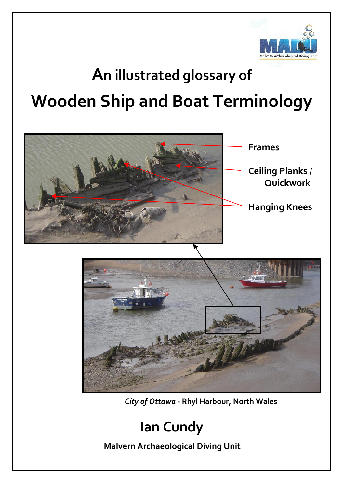

# **An illustrated glossary of Wooden Ship and Boat Terminology**



 *City of Ottawa* **- Rhyl Harbour, North Wales**

## **Ian Cundy**

 **Malvern Archaeological Diving Unit**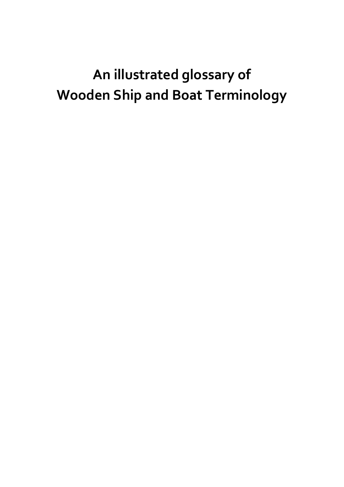# **An illustrated glossary of Wooden Ship and Boat Terminology**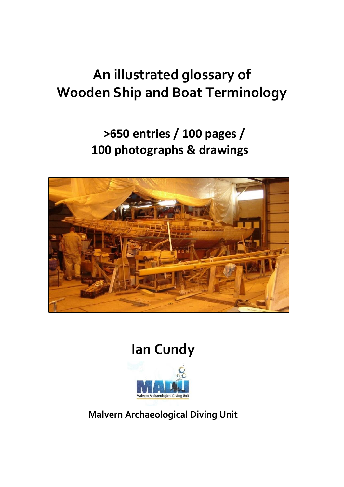# **An illustrated glossary of Wooden Ship and Boat Terminology**

### **>650 entries / 100 pages / 100 photographs & drawings**



### **Ian Cundy**



#### **Malvern Archaeological Diving Unit**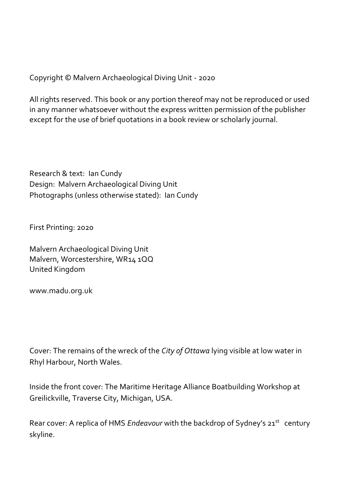Copyright © Malvern Archaeological Diving Unit - 2020

All rights reserved. This book or any portion thereof may not be reproduced or used in any manner whatsoever without the express written permission of the publisher except for the use of brief quotations in a book review or scholarly journal.

Research & text: Ian Cundy Design: Malvern Archaeological Diving Unit Photographs (unless otherwise stated): Ian Cundy

First Printing: 2020

Malvern Archaeological Diving Unit Malvern, Worcestershire, WR14 1QQ United Kingdom

www.madu.org.uk

Cover: The remains of the wreck of the *City of Ottawa* lying visible at low water in Rhyl Harbour, North Wales.

Inside the front cover: The Maritime Heritage Alliance Boatbuilding Workshop at Greilickville, Traverse City, Michigan, USA.

Rear cover: A replica of HMS *Endeavour* with the backdrop of Sydney's 21<sup>st</sup> century skyline.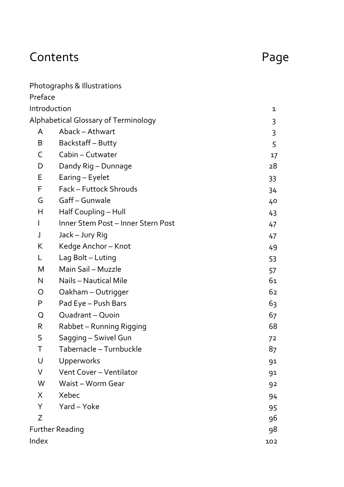## Contents **Page**

|                        | Photographs & Illustrations          |     |
|------------------------|--------------------------------------|-----|
| Preface                |                                      |     |
| Introduction           |                                      | 1   |
|                        | Alphabetical Glossary of Terminology | 3   |
| A                      | Aback - Athwart                      | 3   |
| B                      | Backstaff-Butty                      | 5   |
| C                      | Cabin - Cutwater                     | 17  |
| D                      | Dandy Rig - Dunnage                  | 28  |
| E                      | Earing - Eyelet                      | 33  |
| F                      | Fack - Futtock Shrouds               | 34  |
| G                      | Gaff - Gunwale                       | 40  |
| Н                      | Half Coupling - Hull                 | 43  |
| $\mathbf{I}$           | Inner Stem Post - Inner Stern Post   | 47  |
| J                      | Jack - Jury Rig                      | 47  |
| K                      | Kedge Anchor-Knot                    | 49  |
| L                      | Lag Bolt - Luting                    | 53  |
| M                      | Main Sail - Muzzle                   | 57  |
| N                      | Nails - Nautical Mile                | 61  |
| O                      | Oakham - Outrigger                   | 62  |
| P                      | Pad Eye - Push Bars                  | 63  |
| Q                      | Quadrant - Quoin                     | 67  |
| R                      | Rabbet - Running Rigging             | 68  |
| S                      | Sagging - Swivel Gun                 | 72  |
| Τ                      | Tabernacle - Turnbuckle              | 87  |
| U                      | Upperworks                           | 91  |
| V                      | Vent Cover - Ventilator              | 91  |
| W                      | Waist - Worm Gear                    | 92  |
| X                      | Xebec                                | 94  |
| Y                      | Yard - Yoke                          | 95  |
| Z                      |                                      | 96  |
| <b>Further Reading</b> |                                      | 98  |
| Index                  |                                      | 102 |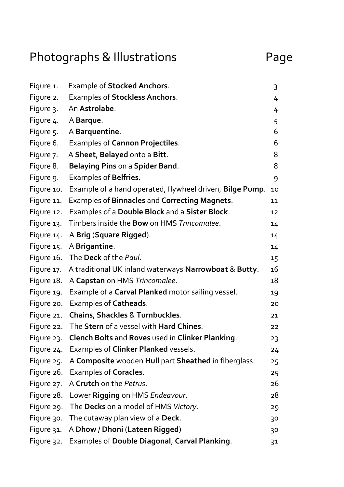# Photographs & Illustrations Page

| Figure 1.  | Example of Stocked Anchors.                              | 3  |
|------------|----------------------------------------------------------|----|
| Figure 2.  | Examples of Stockless Anchors.                           | 4  |
| Figure 3.  | An Astrolabe.                                            | 4  |
| Figure 4.  | A Barque.                                                | 5  |
| Figure 5.  | A Barquentine.                                           | 6  |
| Figure 6.  | Examples of Cannon Projectiles.                          | 6  |
| Figure 7.  | A Sheet, Belayed onto a Bitt.                            | 8  |
| Figure 8.  | Belaying Pins on a Spider Band.                          | 8  |
| Figure 9.  | Examples of Belfries.                                    | 9  |
| Figure 10. | Example of a hand operated, flywheel driven, Bilge Pump. | 10 |
| Figure 11. | Examples of Binnacles and Correcting Magnets.            | 11 |
| Figure 12. | Examples of a Double Block and a Sister Block.           | 12 |
| Figure 13. | Timbers inside the Bow on HMS Trincomalee.               | 14 |
| Figure 14. | A Brig (Square Rigged).                                  | 14 |
| Figure 15. | A Brigantine.                                            | 14 |
| Figure 16. | The Deck of the Paul.                                    | 15 |
| Figure 17. | A traditional UK inland waterways Narrowboat & Butty.    | 16 |
| Figure 18. | A Capstan on HMS Trincomalee.                            | 18 |
| Figure 19. | Example of a Carval Planked motor sailing vessel.        | 19 |
| Figure 20. | Examples of Catheads.                                    | 20 |
| Figure 21. | Chains, Shackles & Turnbuckles.                          | 21 |
| Figure 22. | The Stern of a vessel with Hard Chines.                  | 22 |
| Figure 23. | Clench Bolts and Roves used in Clinker Planking.         | 23 |
| Figure 24. | Examples of Clinker Planked vessels.                     | 24 |
| Figure 25. | A Composite wooden Hull part Sheathed in fiberglass.     | 25 |
| Figure 26. | Examples of Coracles.                                    | 25 |
| Figure 27. | A Crutch on the Petrus.                                  | 26 |
| Figure 28. | Lower Rigging on HMS Endeavour.                          | 28 |
| Figure 29. | The Decks on a model of HMS Victory.                     | 29 |
| Figure 30. | The cutaway plan view of a Deck.                         | 30 |
| Figure 31. | A Dhow / Dhoni (Lateen Rigged)                           | 30 |
| Figure 32. | Examples of Double Diagonal, Carval Planking.            | 31 |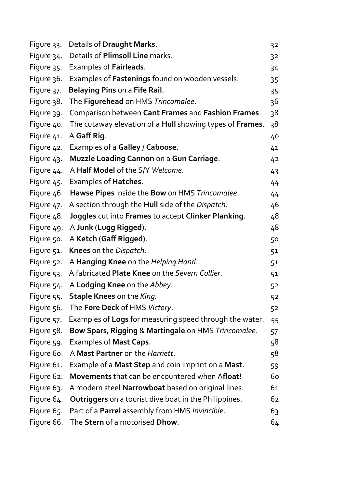| Figure 33. | Details of Draught Marks.                                    | 32 |
|------------|--------------------------------------------------------------|----|
| Figure 34. | Details of Plimsoll Line marks.                              | 32 |
| Figure 35. | Examples of Fairleads.                                       | 34 |
| Figure 36. | Examples of Fastenings found on wooden vessels.              | 35 |
| Figure 37. | Belaying Pins on a Fife Rail.                                | 35 |
| Figure 38. | The Figurehead on HMS Trincomalee.                           | 36 |
| Figure 39. | Comparison between Cant Frames and Fashion Frames.           | 38 |
| Figure 40. | The cutaway elevation of a Hull showing types of Frames.     | 38 |
| Figure 41. | A Gaff Rig.                                                  | 40 |
| Figure 42. | Examples of a Galley / Caboose.                              | 41 |
| Figure 43. | Muzzle Loading Cannon on a Gun Carriage.                     | 42 |
| Figure 44. | A Half Model of the S/Y Welcome.                             | 43 |
| Figure 45. | Examples of Hatches.                                         | 44 |
| Figure 46. | Hawse Pipes inside the Bow on HMS Trincomalee.               | 44 |
| Figure 47. | A section through the Hull side of the Dispatch.             | 46 |
| Figure 48. | Joggles cut into Frames to accept Clinker Planking.          | 48 |
| Figure 49. | A Junk (Lugg Rigged).                                        | 48 |
| Figure 50. | A Ketch (Gaff Rigged).                                       | 50 |
| Figure 51. | Knees on the Dispatch.                                       | 51 |
| Figure 52. | A Hanging Knee on the Helping Hand.                          | 51 |
| Figure 53. | A fabricated Plate Knee on the Severn Collier.               | 51 |
| Figure 54. | A Lodging Knee on the Abbey.                                 | 52 |
| Figure 55. | Staple Knees on the King.                                    | 52 |
| Figure 56. | The Fore Deck of HMS Victory.                                | 52 |
| Figure 57. | Examples of Logs for measuring speed through the water.      | 55 |
| Figure 58. | Bow Spars, Rigging & Martingale on HMS Trincomalee.          | 57 |
| Figure 59. | Examples of Mast Caps.                                       | 58 |
| Figure 60. | A Mast Partner on the Harriett.                              | 58 |
| Figure 61. | Example of a Mast Step and coin imprint on a Mast.           | 59 |
| Figure 62. | Movements that can be encountered when Afloat!               | 60 |
| Figure 63. | A modern steel Narrowboat based on original lines.           | 61 |
| Figure 64. | <b>Outriggers</b> on a tourist dive boat in the Philippines. | 62 |
| Figure 65. | Part of a Parrel assembly from HMS Invincible.               | 63 |
| Figure 66. | The Stern of a motorised Dhow.                               | 64 |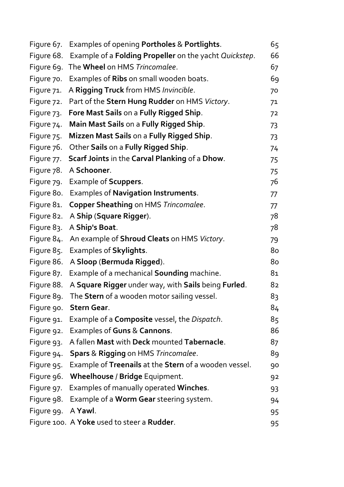| Figure 67. | Examples of opening Portholes & Portlights.            | 65 |
|------------|--------------------------------------------------------|----|
| Figure 68. | Example of a Folding Propeller on the yacht Quickstep. | 66 |
| Figure 69. | The Wheel on HMS Trincomalee.                          | 67 |
| Figure 70. | Examples of Ribs on small wooden boats.                | 69 |
| Figure 71. | A Rigging Truck from HMS Invincible.                   | 70 |
| Figure 72. | Part of the Stern Hung Rudder on HMS Victory.          | 71 |
| Figure 73. | Fore Mast Sails on a Fully Rigged Ship.                | 72 |
| Figure 74. | Main Mast Sails on a Fully Rigged Ship.                | 73 |
| Figure 75. | Mizzen Mast Sails on a Fully Rigged Ship.              | 73 |
| Figure 76. | Other Sails on a Fully Rigged Ship.                    | 74 |
| Figure 77. | Scarf Joints in the Carval Planking of a Dhow.         | 75 |
| Figure 78. | A Schooner.                                            | 75 |
| Figure 79. | Example of Scuppers.                                   | 76 |
| Figure 80. | Examples of Navigation Instruments.                    | 77 |
| Figure 81. | Copper Sheathing on HMS Trincomalee.                   | 77 |
| Figure 82. | A Ship (Square Rigger).                                | 78 |
| Figure 83. | A Ship's Boat.                                         | 78 |
| Figure 84. | An example of Shroud Cleats on HMS Victory.            | 79 |
| Figure 85. | Examples of Skylights.                                 | 80 |
| Figure 86. | A Sloop (Bermuda Rigged).                              | 80 |
| Figure 87. | Example of a mechanical Sounding machine.              | 81 |
| Figure 88. | A Square Rigger under way, with Sails being Furled.    | 82 |
| Figure 89. | The Stern of a wooden motor sailing vessel.            | 83 |
| Figure 90. | Stern Gear.                                            | 84 |
| Figure 91. | Example of a Composite vessel, the Dispatch.           | 85 |
| Figure 92. | Examples of Guns & Cannons.                            | 86 |
| Figure 93. | A fallen Mast with Deck mounted Tabernacle.            | 87 |
| Figure 94. | Spars & Rigging on HMS Trincomalee.                    | 89 |
| Figure 95. | Example of Treenails at the Stern of a wooden vessel.  | 90 |
| Figure 96. | Wheelhouse / Bridge Equipment.                         | 92 |
| Figure 97. | Examples of manually operated Winches.                 | 93 |
| Figure 98. | Example of a Worm Gear steering system.                | 94 |
| Figure 99. | A Yawl.                                                | 95 |
|            | Figure 100. A Yoke used to steer a Rudder.             | 95 |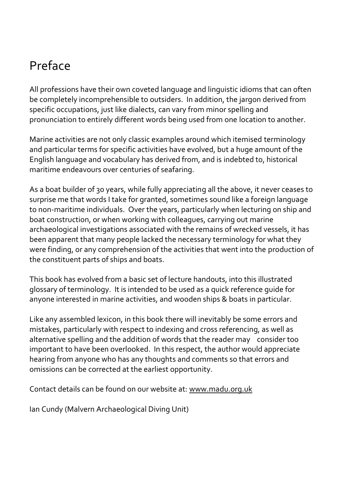### Preface

All professions have their own coveted language and linguistic idioms that can often be completely incomprehensible to outsiders. In addition, the jargon derived from specific occupations, just like dialects, can vary from minor spelling and pronunciation to entirely different words being used from one location to another.

Marine activities are not only classic examples around which itemised terminology and particular terms for specific activities have evolved, but a huge amount of the English language and vocabulary has derived from, and is indebted to, historical maritime endeavours over centuries of seafaring.

As a boat builder of 30 years, while fully appreciating all the above, it never ceases to surprise me that words I take for granted, sometimes sound like a foreign language to non-maritime individuals. Over the years, particularly when lecturing on ship and boat construction, or when working with colleagues, carrying out marine archaeological investigations associated with the remains of wrecked vessels, it has been apparent that many people lacked the necessary terminology for what they were finding, or any comprehension of the activities that went into the production of the constituent parts of ships and boats.

This book has evolved from a basic set of lecture handouts, into this illustrated glossary of terminology. It is intended to be used as a quick reference guide for anyone interested in marine activities, and wooden ships & boats in particular.

Like any assembled lexicon, in this book there will inevitably be some errors and mistakes, particularly with respect to indexing and cross referencing, as well as alternative spelling and the addition of words that the reader may consider too important to have been overlooked. In this respect, the author would appreciate hearing from anyone who has any thoughts and comments so that errors and omissions can be corrected at the earliest opportunity.

Contact details can be found on our website at: www.madu.org.uk

Ian Cundy (Malvern Archaeological Diving Unit)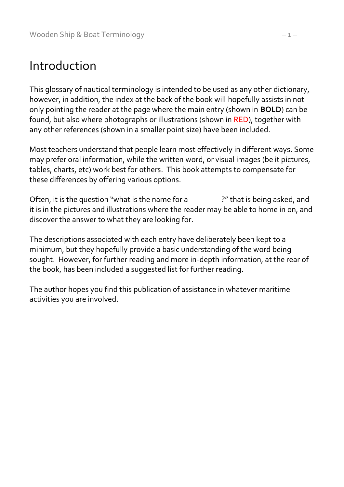### Introduction

This glossary of nautical terminology is intended to be used as any other dictionary, however, in addition, the index at the back of the book will hopefully assists in not only pointing the reader at the page where the main entry (shown in **BOLD**) can be found, but also where photographs or illustrations (shown in RED), together with any other references (shown in a smaller point size) have been included.

Most teachers understand that people learn most effectively in different ways. Some may prefer oral information, while the written word, or visual images (be it pictures, tables, charts, etc) work best for others. This book attempts to compensate for these differences by offering various options.

Often, it is the question "what is the name for a ----------- ?" that is being asked, and it is in the pictures and illustrations where the reader may be able to home in on, and discover the answer to what they are looking for.

The descriptions associated with each entry have deliberately been kept to a minimum, but they hopefully provide a basic understanding of the word being sought. However, for further reading and more in-depth information, at the rear of the book, has been included a suggested list for further reading.

The author hopes you find this publication of assistance in whatever maritime activities you are involved.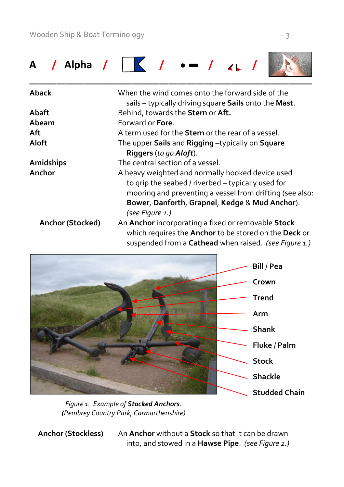

| Aback            | When the wind comes onto the forward side of the<br>sails - typically driving square Sails onto the Mast.                                                                                                            |
|------------------|----------------------------------------------------------------------------------------------------------------------------------------------------------------------------------------------------------------------|
| Abaft            | Behind, towards the Stern or Aft.                                                                                                                                                                                    |
| Abeam            | Forward or <b>Fore</b> .                                                                                                                                                                                             |
| Aft              | A term used for the <b>Stern</b> or the rear of a vessel.                                                                                                                                                            |
| Aloft            | The upper Sails and Rigging -typically on Square                                                                                                                                                                     |
|                  | Riggers (to go Aloft).                                                                                                                                                                                               |
| Amidships        | The central section of a vessel.                                                                                                                                                                                     |
| Anchor           | A heavy weighted and normally hooked device used<br>to grip the seabed / riverbed - typically used for<br>mooring and preventing a vessel from drifting (see also:<br>Bower, Danforth, Grapnel, Kedge & Mud Anchor). |
|                  | (see Figure 1.)                                                                                                                                                                                                      |
| Anchor (Stocked) | An Anchor incorporating a fixed or removable Stock<br>which requires the Anchor to be stored on the Deck or<br>suspended from a Cathead when raised. (see Figure 1.)                                                 |



*Figure 1. Example of Stocked Anchors. (Pembrey Country Park, Carmarthenshire)*

 **Anchor (Stockless)** An **Anchor** without a **Stock** so that it can be drawn into, and stowed in a **Hawse Pipe**. *(see Figure 2.)*